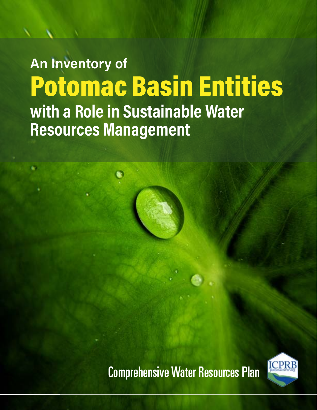# An Inventory of Potomac Basin Entities with a Role in Sustainable Water **Resources Management**

Comprehensive Water Resources Plan

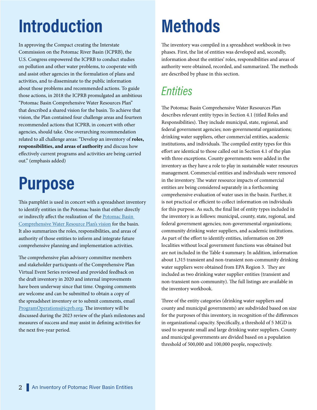# Introduction

In approving the Compact creating the Interstate Commission on the Potomac River Basin (ICPRB), the U.S. Congress empowered the ICPRB to conduct studies on pollution and other water problems, to cooperate with and assist other agencies in the formulation of plans and activities, and to disseminate to the public information about those problems and recommended actions. To guide those actions, in 2018 the ICPRB promulgated an ambitious "Potomac Basin Comprehensive Water Resources Plan" that described a shared vision for the basin. To achieve that vision, the Plan contained four challenge areas and fourteen recommended actions that ICPRB, in concert with other agencies, should take. One overarching recommendation related to all challenge areas: "Develop an inventory of roles, responsibilities, and areas of authority and discuss how effectively current programs and activities are being carried out." (emphasis added)

## Purpose

This pamphlet is used in concert with a spreadsheet inventory to identify entities in the Potomac basin that either directly or indirectly affect the realization of the [Potomac Basin](https://www.potomacriver.org/focus-areas/water-resources-and-drinking-water/water-resources/planning/basin-wide-comprehensive-plan/
)  [Comprehensive Water Resource Plan's vision](https://www.potomacriver.org/focus-areas/water-resources-and-drinking-water/water-resources/planning/basin-wide-comprehensive-plan/
) for the basin. It also summarizes the roles, responsibilities, and areas of authority of those entities to inform and integrate future comprehensive planning and implementation activities.

The comprehensive plan advisory committee members and stakeholder participants of the Comprehensive Plan Virtual Event Series reviewed and provided feedback on the draft inventory in 2020 and internal improvements have been underway since that time. Ongoing comments are welcome and can be submitted to obtain a copy of the spreadsheet inventory or to submit comments, email [ProgramOperations@icprb.org.](http://ProgramOperations@icprb.org) The inventory will be discussed during the 2023 review of the plan's milestones and measures of success and may assist in defining activities for the next five-year period.

## **Methods**

The inventory was compiled in a spreadsheet workbook in two phases. First, the list of entities was developed and, secondly, information about the entities' roles, responsibilities and areas of authority were obtained, recorded, and summarized. The methods are described by phase in this section.

## **Entities**

The Potomac Basin Comprehensive Water Resources Plan describes relevant entity types in Section 4.1 (titled Roles and Responsibilities). They include municipal, state, regional, and federal government agencies; non-governmental organizations; drinking water suppliers, other commercial entities, academic institutions, and individuals. The compiled entity types for this effort are identical to those called out in Section 4.1 of the plan with three exceptions. County governments were added in the inventory as they have a role to play in sustainable water resources management. Commercial entities and individuals were removed in the inventory. The water resource impacts of commercial entities are being considered separately in a forthcoming comprehensive evaluation of water uses in the basin. Further, it is not practical or efficient to collect information on individuals for this purpose. As such, the final list of entity types included in the inventory is as follows: municipal, county, state, regional, and federal government agencies; non-governmental organizations; community drinking water suppliers, and academic institutions. As part of the effort to identify entities, information on 209 localities without local government functions was obtained but are not included in the Table 4 summary. In addition, information about 1,315 transient and non-transient non-community drinking water suppliers were obtained from EPA Region 3. They are included as two drinking water supplier entities (transient and non-transient non-community). The full listings are available in the inventory workbook.

Three of the entity categories (drinking water suppliers and county and municipal governments) are subdivided based on size for the purposes of this inventory, in recognition of the differences in organizational capacity. Specifically, a threshold of 5 MGD is used to separate small and large drinking water suppliers. County and municipal governments are divided based on a population threshold of 500,000 and 100,000 people, respectively.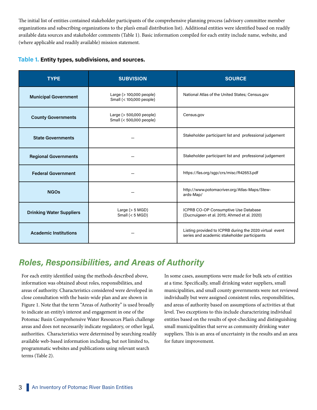The initial list of entities contained stakeholder participants of the comprehensive planning process (advisory committee member organizations and subscribing organizations to the plan's email distribution list). Additional entities were identified based on readily available data sources and stakeholder comments (Table 1). Basic information compiled for each entity include name, website, and (where applicable and readily available) mission statement.

|  |  | Table 1. Entity types, subdivisions, and sources. |  |  |
|--|--|---------------------------------------------------|--|--|
|--|--|---------------------------------------------------|--|--|

| <b>TYPE</b>                                                                         | <b>SUBVISION</b>                                     | <b>SOURCE</b>                                                                                           |  |  |  |  |
|-------------------------------------------------------------------------------------|------------------------------------------------------|---------------------------------------------------------------------------------------------------------|--|--|--|--|
| Large (> 100,000 people)<br><b>Municipal Government</b><br>Small (< 100,000 people) |                                                      | National Atlas of the United States; Census.gov                                                         |  |  |  |  |
| <b>County Governments</b>                                                           | Large (> 500,000 people)<br>Small (< 500,000 people) | Census.gov                                                                                              |  |  |  |  |
| <b>State Governments</b>                                                            |                                                      | Stakeholder participant list and professional judgement                                                 |  |  |  |  |
| <b>Regional Governments</b>                                                         |                                                      | Stakeholder participant list and professional judgement                                                 |  |  |  |  |
| <b>Federal Government</b>                                                           |                                                      | https://fas.org/sgp/crs/misc/R42653.pdf                                                                 |  |  |  |  |
| <b>NGOs</b>                                                                         |                                                      | http://www.potomacriver.org/Atlas-Maps/Stew-<br>ards-Map/                                               |  |  |  |  |
| <b>Drinking Water Suppliers</b>                                                     | Large $(> 5 MGD)$<br>Small $(< 5$ MGD)               | ICPRB CO-OP Consumptive Use Database<br>(Ducnuigeen et al. 2015; Ahmed et al. 2020)                     |  |  |  |  |
| <b>Academic Institutions</b>                                                        |                                                      | Listing provided to ICPRB during the 2020 virtual event<br>series and academic stakeholder participants |  |  |  |  |

## Roles, Responsibilities, and Areas of Authority

For each entity identified using the methods described above, information was obtained about roles, responsibilities, and areas of authority. Characteristics considered were developed in close consultation with the basin-wide plan and are shown in Figure 1. Note that the term "Areas of Authority" is used broadly to indicate an entity's interest and engagement in one of the Potomac Basin Comprehensive Water Resources Plan's challenge areas and does not necessarily indicate regulatory, or other legal, authorities. Characteristics were determined by searching readily available web-based information including, but not limited to, programmatic websites and publications using relevant search terms (Table 2).

In some cases, assumptions were made for bulk sets of entities at a time. Specifically, small drinking water suppliers, small municipalities, and small county governments were not reviewed individually but were assigned consistent roles, responsibilities, and areas of authority based on assumptions of activities at that level. Two exceptions to this include characterizing individual entities based on the results of spot-checking and distinguishing small municipalities that serve as community drinking water suppliers. This is an area of uncertainty in the results and an area for future improvement.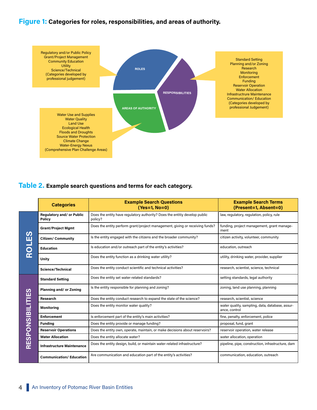#### Figure 1: Categories for roles, responsibilities, and areas of authority.



#### Table 2. Example search questions and terms for each category.

|              | <b>Categories</b>                                 | <b>Example Search Questions</b><br>(Yes=1, No=0)                                      | <b>Example Search Terms</b><br>(Present=1, Absent=0)             |  |  |  |
|--------------|---------------------------------------------------|---------------------------------------------------------------------------------------|------------------------------------------------------------------|--|--|--|
|              | <b>Regulatory and/ or Public</b><br><b>Policy</b> | Does the entity have regulatory authority? Does the entitiy develop public<br>policy? | law, regulatory, regulation, policy, rule                        |  |  |  |
| ဟ            | <b>Grant/Project Mgmt</b>                         | Does the entity perform grant/project management, giving or receiving funds?          | funding, project management, grant manage-<br>ment               |  |  |  |
|              | <b>Citizen/ Community</b>                         | Is the entity engaged with the citizens and the broader community?                    | citizen activity, volunteer, community                           |  |  |  |
|              | <b>Education</b>                                  | Is education and/or outreach part of the entity's activities?                         | education, outreach                                              |  |  |  |
| $\alpha$     | Unity                                             | Does the entity function as a drinking water utility?                                 | utility, drinking water, provider, supplier                      |  |  |  |
|              | Science/Technical                                 | Does the entity conduct scientific and technical activities?                          | research, scientist, science, technical                          |  |  |  |
|              | <b>Standard Setting</b>                           | Does the entity set water-related standards?                                          | setting standards, legal authority                               |  |  |  |
| <b>UTIES</b> | Planning and/ or Zoning                           | Is the entity responsible for planning and zoning?                                    | zoning, land use planning, planning                              |  |  |  |
|              | Research                                          | Does the entity conduct research to expand the state of the science?                  | research, scientist, science                                     |  |  |  |
|              | <b>Monitoring</b>                                 | Does the entity monitor water quality?                                                | water quality, sampling, data, database, assur-<br>ance, control |  |  |  |
|              | <b>Enforcement</b>                                | Is enforcement part of the entity's main activities?                                  | fine, penalty, enforcement, police                               |  |  |  |
|              | <b>Funding</b>                                    | Does the entity provide or manage funding?                                            | proposal, fund, grant                                            |  |  |  |
|              | <b>Reservoir Operations</b>                       | Does the entity own, operate, maintain, or make decisions about reservoirs?           | reservoir operation, water release                               |  |  |  |
|              | <b>Water Allocation</b>                           | Does the entity allocate water?                                                       | water allocation, operation                                      |  |  |  |
| RESPONSIBIL  | <b>Infrastructure Maintenance</b>                 | Does the entity design, build, or maintain water-related infrastructure?              | pipeline, pipe, construction, infrastructure, dam                |  |  |  |
|              | <b>Communication/Education</b>                    | Are communication and education part of the entity's activities?                      | communication, education, outreach                               |  |  |  |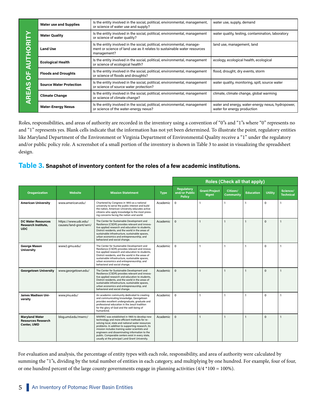|                                                          | <b>Water use and Supplies</b>  | Is the entity involved in the social, political, environmental, management,<br>or science of water use and supply?                                                 | water use, supply, demand                                                        |  |  |  |
|----------------------------------------------------------|--------------------------------|--------------------------------------------------------------------------------------------------------------------------------------------------------------------|----------------------------------------------------------------------------------|--|--|--|
| <b>AUTHORIT</b><br>щ<br>$\overline{\mathbf{O}}$<br>AREAS | <b>Water Quality</b>           | Is the entity involved in the social, political, environmental, management<br>or science of water quality?                                                         | water quality, testing, contamination, laboratory                                |  |  |  |
|                                                          | <b>Land Use</b>                | Is the entity involved in the social, political, environmental, manage-<br>ment or science of land use as it relates to sustainable water resources<br>management? | land use, management, land                                                       |  |  |  |
|                                                          | <b>Ecological Health</b>       | Is the entity involved in the social, political, environmental, management<br>or science of ecological health?                                                     | ecology, ecological health, ecological                                           |  |  |  |
|                                                          | <b>Floods and Droughts</b>     | Is the entity involved in the social, political, environmental, management<br>or science of floods and droughts?                                                   | flood, drought, dry events, storm                                                |  |  |  |
|                                                          | <b>Source Water Protection</b> | Is the entity involved in the social, political, environmental, management<br>or science of source water protection?                                               | water quality, monitoring, spill, source water                                   |  |  |  |
|                                                          | <b>Climate Change</b>          | Is the entity involved in the social, political, environmental, management<br>or science of climate change?                                                        | climate, climate change, global warming                                          |  |  |  |
|                                                          | <b>Water-Energy Nexus</b>      | Is the entity involved in the social, political, environmental, management<br>or science of the water-energy nexus?                                                | water and energy, water-energy nexus, hydropower,<br>water for energy production |  |  |  |

Roles, responsibilities, and areas of authority are recorded in the inventory using a convention of "0"s and "1"s where "0" represents no and "1" represents yes. Blank cells indicate that the information has not yet been determined. To illustrate the point, regulatory entities like Maryland Department of the Environment or Virginia Department of Environmental Quality receive a "1" under the regulatory and/or public policy role. A screenshot of a small portion of the inventory is shown in Table 3 to assist in visualizing the spreadsheet design.

#### Table 3. Snapshot of inventory content for the roles of a few academic institutions.

|                                                                   |                                                 |                                                                                                                                                                                                                                                                                                                                                                                                                    |             | <b>Roles (Check all that apply)</b>          |                              |                       |                  |                |                              |
|-------------------------------------------------------------------|-------------------------------------------------|--------------------------------------------------------------------------------------------------------------------------------------------------------------------------------------------------------------------------------------------------------------------------------------------------------------------------------------------------------------------------------------------------------------------|-------------|----------------------------------------------|------------------------------|-----------------------|------------------|----------------|------------------------------|
| <b>Oraganization</b>                                              | Website                                         | <b>Mission Statetment</b>                                                                                                                                                                                                                                                                                                                                                                                          | <b>Type</b> | Regulatory<br>and/or Public<br><b>Policy</b> | Grant/Project<br><b>Mgmt</b> | Citizen/<br>Community | <b>Education</b> | <b>Utility</b> | Science/<br><b>Technical</b> |
| <b>American University</b>                                        | www.american.edu/                               | Chartered by Congress in 1893 as a national<br>university to serve the public interest and build<br>the nation, American University educates active<br>citizens who apply knowledge to the most press-<br>ing concerns facing the nation and world.                                                                                                                                                                | Academic    | $\mathbf 0$                                  | $\mathbf{1}$                 | $\mathbf{1}$          | $\mathbf{1}$     | 0              |                              |
| <b>DC Water Resources</b><br>Research Institute,<br><b>UDC</b>    | https://www.udc.edu/<br>causes/land-grant/wrri/ | The Center for Sustainable Development and<br>Resilience (CSDR) provides relevant and innova-<br>tive applied research and education to students,<br>District residents, and the world in the areas of<br>sustainable infrastructure, sustainable spaces,<br>urban economics and entrepreneurship, and<br>behavioral and social change.                                                                            | Academic    | 0                                            | $\mathbf{1}$                 | $\overline{1}$        | $\mathbf{1}$     | $\mathbf 0$    |                              |
| George Mason<br><b>University</b>                                 | www2.gmu.edu/                                   | The Center for Sustainable Development and<br>Resilience (CSDR) provides relevant and innova-<br>tive applied research and education to students,<br>District residents, and the world in the areas of<br>sustainable infrastructure, sustainable spaces,<br>urban economics and entrepreneurship, and<br>behavioral and social change.                                                                            | Academic    | $\Omega$                                     | $\mathbf{1}$                 | $\mathbf{1}$          | $\overline{1}$   | $\Omega$       | $\mathbf{1}$                 |
| <b>Georgetown University</b>                                      | www.georgetown.edu/                             | The Center for Sustainable Development and<br>Resilience (CSDR) provides relevant and innova-<br>tive applied research and education to students,<br>District residents, and the world in the areas of<br>sustainable infrastructure, sustainable spaces,<br>urban economics and entrepreneurship, and<br>behavioral and social change.                                                                            | Academic    | 0                                            | $\mathbf{1}$                 | $\overline{1}$        |                  | $\Omega$       |                              |
| <b>James Madison Uni-</b><br>versity                              | www.jmu.edu/                                    | An academic community dedicated to creating<br>and communicating knowledge, Georgetown<br>provides excellent undergraduate, graduate and<br>professional education in the Jesuit tradition<br>for the glory of God and the well-being of<br>humankind.                                                                                                                                                             | Academic    | $\Omega$                                     | $\mathbf{1}$                 | $\overline{1}$        | $\mathbf{1}$     | $\Omega$       |                              |
| <b>Maryland Water</b><br><b>Resources Research</b><br>Center, UMD | blog.umd.edu/mwrrc/                             | MWRRC was established in 1965 to develop new<br>technology and more efficient methods for re-<br>solving local, state and national water resources<br>problems. In addition to supporting research, its<br>mission includes training water scientists and<br>engineers and disseminating information to the<br>public. Comparable centers exist in every state,<br>usually at the principal Land Grant University. | Academic    | 0                                            | $\mathbf{1}$                 | $\overline{1}$        |                  | $\Omega$       |                              |

For evaluation and analysis, the percentage of entity types with each role, responsibility, and area of authority were calculated by summing the "1"s, dividing by the total number of entities in each category, and multiplying by one hundred. For example, four of four, or one hundred percent of the large county governments engage in planning activities  $(4/4 * 100 = 100\%)$ .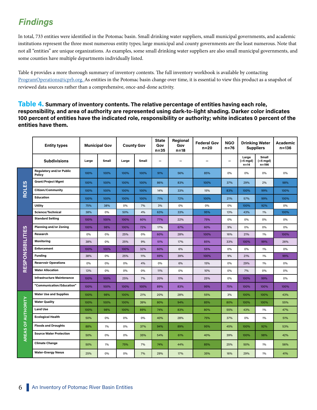## **Findings**

In total, 733 entities were identified in the Potomac basin. Small drinking water suppliers, small municipal governments, and academic institutions represent the three most numerous entity types; large municipal and county governments are the least numerous. Note that not all "entities" are unique organizations. As examples, some small drinking water suppliers are also small municipal governments, and some counties have multiple departments individually listed.

Table 4 provides a more thorough summary of inventory contents. The full inventory workbook is available by contacting [ProgramOperations@icprb.org.](http://ProgramOperations@icprb.org. ) As entities in the Potomac basin change over time, it is essential to view this product as a snapshot of reviewed data sources rather than a comprehensive, once-and-done activity.

Table 4. Summary of inventory contents. The relative percentage of entities having each role, responsibility, and area of authority are represented using dark-to-light shading. Darker color indicates 100 percent of entities have the indicated role, responsibility or authority; white indicates 0 percent of the entities have them.

|                           | <b>Entity types</b>                       | <b>Municipal Gov</b> |              | <b>County Gov</b> |       | <b>State</b><br>Gov<br>$n = 35$ | Regional<br>Gov<br>$n=18$ | <b>Federal Gov</b><br>$n=20$ | <b>NGO</b><br>$n = 76$ | <b>Drinking Water</b><br><b>Suppliers</b> |                                | Academic<br>$n = 136$ |
|---------------------------|-------------------------------------------|----------------------|--------------|-------------------|-------|---------------------------------|---------------------------|------------------------------|------------------------|-------------------------------------------|--------------------------------|-----------------------|
|                           | <b>Subdivisions</b>                       | Large                | <b>Small</b> | Large             | Small |                                 |                           |                              | —                      | Large<br>$(>5$ mgd)<br>$n=14$             | Small<br>(<5 mgd)<br>$n = 196$ |                       |
|                           | <b>Regulatory and/or Public</b><br>Policy | 100%                 | 100%         | 100%              | 100%  | 91%                             | 56%                       | 85%                          | 0%                     | 0%                                        | 0%                             | 0%                    |
|                           | <b>Grant/Project Mgmt</b>                 | 100%                 | 100%         | 100%              | 100%  | 86%                             | 83%                       | 100%                         | 37%                    | 29%                                       | 2%                             | 98%                   |
| ROLES                     | <b>Citizen/Community</b>                  | 100%                 | 100%         | 100%              | 100%  | 14%                             | 33%                       | 15%                          | 83%                    | 100%                                      | 99%                            | 100%                  |
|                           | <b>Education</b>                          | 100%                 | 100%         | 100%              | 100%  | 71%                             | 72%                       | 100%                         | 21%                    | 57%                                       | 99%                            | 100%                  |
|                           | Utility                                   | 75%                  | 38%          | 0%                | 7%    | 3%                              | 0%                        | 0%                           | 0%                     | 100%                                      | 92%                            | 0%                    |
|                           | Science/Technical                         | 38%                  | 0%           | 50%               | 4%    | 63%                             | 33%                       | 95%                          | 13%                    | 43%                                       | 1%                             | 100%                  |
|                           | <b>Standard Setting</b>                   | 100%                 | 100%         | 100%              | 60%   | 77%                             | 22%                       | 75%                          | 0%                     | 0%                                        | 0%                             | 0%                    |
|                           | <b>Planning and/or Zoning</b>             | 100%                 | 98%          | 100%              | 72%   | 17%                             | 67%                       | 60%                          | 9%                     | 0%                                        | 0%                             | 0%                    |
|                           | Research                                  | 0%                   | 0%           | 25%               | 0%    | 60%                             | 28%                       | 100%                         | 16%                    | 21%                                       | 1%                             | 100%                  |
|                           | <b>Monitoring</b>                         | 38%                  | 0%           | 25%               | 9%    | 51%                             | 17%                       | 85%                          | 33%                    | 100%                                      | 99%                            | 26%                   |
|                           | Enforcement                               | 100%                 | 100%         | 100%              | 32%   | 60%                             | 6%                        | 55%                          | 0%                     | 0%                                        | 1%                             | 0%                    |
|                           | <b>Funding</b>                            | 38%                  | 0%           | 25%               | 11%   | 69%                             | 39%                       | 100%                         | 9%                     | 21%                                       | 1%                             | 99%                   |
| <b>RESPONSIBILITIES</b>   | <b>Reservoir Operations</b>               | 0%                   | 0%           | 0%                | 4%    | 0%                              | 6%                        | 15%                          | 0%                     | 29%                                       | 1%                             | 0%                    |
|                           | <b>Water Allocation</b>                   | 13%                  | 0%           | 0%                | 0%    | 11%                             | 0%                        | 10%                          | 0%                     | 7%                                        | 0%                             | 0%                    |
|                           | <b>Infrastructure Maintenance</b>         | 100%                 | 100%         | 25%               | 7%    | 20%                             | 11%                       | 25%                          | 0%                     | 100%                                      | 99%                            | 0%                    |
|                           | "Communication/Education"                 | 100%                 | 100%         | 100%              | 100%  | 89%                             | 83%                       | 95%                          | 75%                    | 100%                                      | 100%                           | 100%                  |
|                           | <b>Water Use and Supplies</b>             | 100%                 | 98%          | 100%              | 21%   | 20%                             | 28%                       | 55%                          | 3%                     | 100%                                      | 100%                           | 43%                   |
|                           | <b>Water Quality</b>                      | 100%                 | 100%         | 100%              | 39%   | 80%                             | 94%                       | 85%                          | 80%                    | 100%                                      | 100%                           | 55%                   |
|                           | <b>Land Use</b>                           | 100%                 | 98%          | 100%              | 89%   | 74%                             | 83%                       | 80%                          | 55%                    | 43%                                       | 1%                             | 47%                   |
|                           | <b>Ecological Health</b>                  | 50%                  | 0%           | 0%                | 0%    | 40%                             | 28%                       | 75%                          | 37%                    | 0%                                        | 1%                             | 51%                   |
|                           | <b>Floods and Droughts</b>                | 88%                  | 1%           | 0%                | 37%   | 94%                             | 89%                       | 95%                          | 45%                    | 100%                                      | 92%                            | 53%                   |
| <b>AREAS OF AUTHORITY</b> | <b>Source Water Protection</b>            | 50%                  | 0%           | 0%                | 35%   | 54%                             | 61%                       | 40%                          | 39%                    | 100%                                      | 98%                            | 42%                   |
|                           | <b>Climate Change</b>                     | 50%                  | 1%           | 75%               | 7%    | 74%                             | 44%                       | 85%                          | 25%                    | 50%                                       | 1%                             | 56%                   |
|                           | <b>Water-Energy Nexus</b>                 | 25%                  | 0%           | 0%                | 7%    | 29%                             | 17%                       | 35%                          | 16%                    | 29%                                       | 1%                             | 41%                   |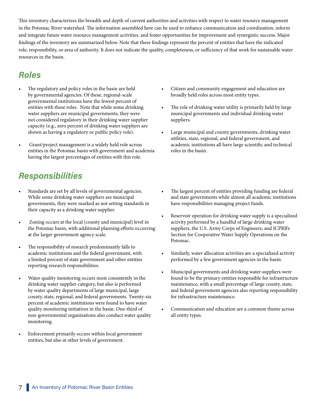This inventory characterizes the breadth and depth of current authorities and activities with respect to water resource management in the Potomac River watershed. The information assembled here can be used to enhance communication and coordination, inform and integrate future water resource management activities, and foster opportunities for improvement and synergistic success. Major findings of the inventory are summarized below. Note that these findings represent the percent of entities that have the indicated role, responsibility, or area of authority. It does not indicate the quality, completeness, or sufficiency of that work for sustainable water resources in the basin.

### Roles

- The regulatory and policy roles in the basin are held by governmental agencies. Of these, regional-scale governmental institutions have the fewest percent of entities with these roles. Note that while some drinking water suppliers are municipal governments, they were not considered regulatory in their drinking water supplier capacity (e.g., zero percent of drinking water suppliers are shown as having a regulatory or public policy role).
- Grant/project management is a widely held role across entities in the Potomac basin with government and academia having the largest percentages of entities with this role.

### **Responsibilities**

- Standards are set by all levels of governmental agencies. While some drinking water suppliers are municipal governments, they were marked as not setting standards in their capacity as a drinking water supplier.
- Zoning occurs at the local (county and municipal) level in the Potomac basin, with additional planning efforts occurring at the larger government agency scale.
- The responsibility of research predominantly falls to academic institutions and the federal government, with a limited percent of state government and other entities reporting research responsibilities.
- Water quality monitoring occurs most consistently in the drinking water supplier category, but also is performed by water quality departments of large municipal, large county, state, regional, and federal governments. Twenty-six percent of academic institutions were found to have water quality monitoring initiatives in the basin. One-third of non-governmental organizations also conduct water quality monitoring.
- Enforcement primarily occurs within local government entities, but also at other levels of government.
- Citizen and community engagement and education are broadly held roles across most entity types.
- The role of drinking water utility is primarily held by large municipal governments and individual drinking water suppliers.
- Large municipal and county governments, drinking water utilities, state, regional, and federal government, and academic institutions all have large scientific and technical roles in the basin.
- The largest percent of entities providing funding are federal and state governments while almost all academic institutions have responsibilities managing project funds.
- Reservoir operation for drinking water supply is a specialized activity performed by a handful of large drinking water suppliers, the U.S. Army Corps of Engineers, and ICPRB's Section for Cooperative Water Supply Operations on the Potomac.
- Similarly, water allocation activities are a specialized activity performed by a few government agencies in the basin.
- Municipal governments and drinking water suppliers were found to be the primary entities responsible for infrastructure maintenance, with a small percentage of large county, state, and federal government agencies also reporting responsibility for infrastructure maintenance.
- Communication and education are a common theme across all entity types.